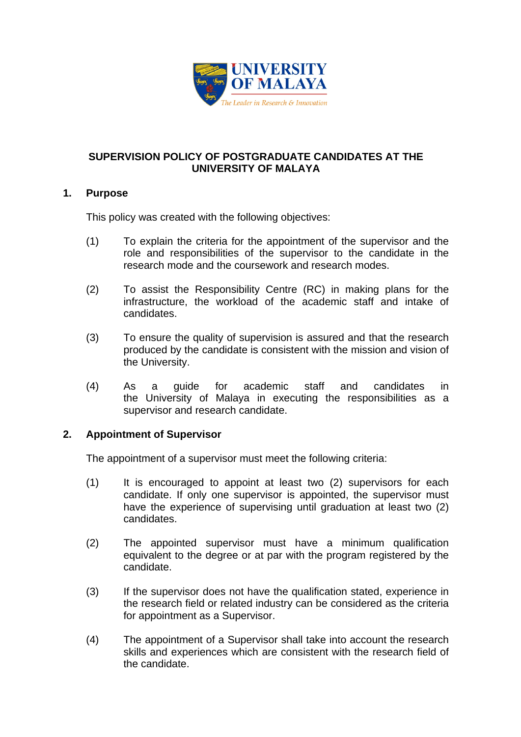

# **SUPERVISION POLICY OF POSTGRADUATE CANDIDATES AT THE UNIVERSITY OF MALAYA**

## **1. Purpose**

This policy was created with the following objectives:

- (1) To explain the criteria for the appointment of the supervisor and the role and responsibilities of the supervisor to the candidate in the research mode and the coursework and research modes.
- (2) To assist the Responsibility Centre (RC) in making plans for the infrastructure, the workload of the academic staff and intake of candidates.
- (3) To ensure the quality of supervision is assured and that the research produced by the candidate is consistent with the mission and vision of the University.
- (4) As a guide for academic staff and candidates in the University of Malaya in executing the responsibilities as a supervisor and research candidate.

# **2. Appointment of Supervisor**

The appointment of a supervisor must meet the following criteria:

- (1) It is encouraged to appoint at least two (2) supervisors for each candidate. If only one supervisor is appointed, the supervisor must have the experience of supervising until graduation at least two (2) candidates.
- (2) The appointed supervisor must have a minimum qualification equivalent to the degree or at par with the program registered by the candidate.
- (3) If the supervisor does not have the qualification stated, experience in the research field or related industry can be considered as the criteria for appointment as a Supervisor.
- (4) The appointment of a Supervisor shall take into account the research skills and experiences which are consistent with the research field of the candidate.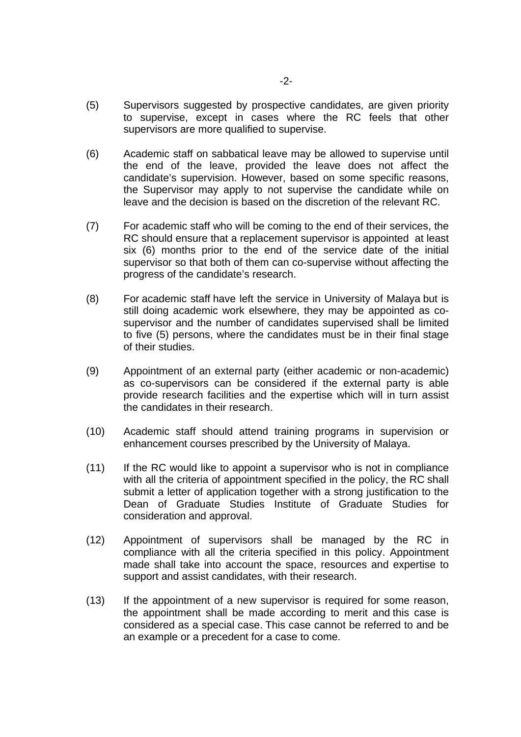- (5) Supervisors suggested by prospective candidates, are given priority to supervise, except in cases where the RC feels that other supervisors are more qualified to supervise.
- (6) Academic staff on sabbatical leave may be allowed to supervise until the end of the leave, provided the leave does not affect the candidate's supervision. However, based on some specific reasons, the Supervisor may apply to not supervise the candidate while on leave and the decision is based on the discretion of the relevant RC.
- (7) For academic staff who will be coming to the end of their services, the RC should ensure that a replacement supervisor is appointed at least six (6) months prior to the end of the service date of the initial supervisor so that both of them can co-supervise without affecting the progress of the candidate's research.
- (8) For academic staff have left the service in University of Malaya but is still doing academic work elsewhere, they may be appointed as cosupervisor and the number of candidates supervised shall be limited to five (5) persons, where the candidates must be in their final stage of their studies.
- (9) Appointment of an external party (either academic or non-academic) as co-supervisors can be considered if the external party is able provide research facilities and the expertise which will in turn assist the candidates in their research.
- (10) Academic staff should attend training programs in supervision or enhancement courses prescribed by the University of Malaya.
- (11) If the RC would like to appoint a supervisor who is not in compliance with all the criteria of appointment specified in the policy, the RC shall submit a letter of application together with a strong justification to the Dean of Graduate Studies Institute of Graduate Studies for consideration and approval.
- (12) Appointment of supervisors shall be managed by the RC in compliance with all the criteria specified in this policy. Appointment made shall take into account the space, resources and expertise to support and assist candidates, with their research.
- (13) If the appointment of a new supervisor is required for some reason, the appointment shall be made according to merit and this case is considered as a special case. This case cannot be referred to and be an example or a precedent for a case to come.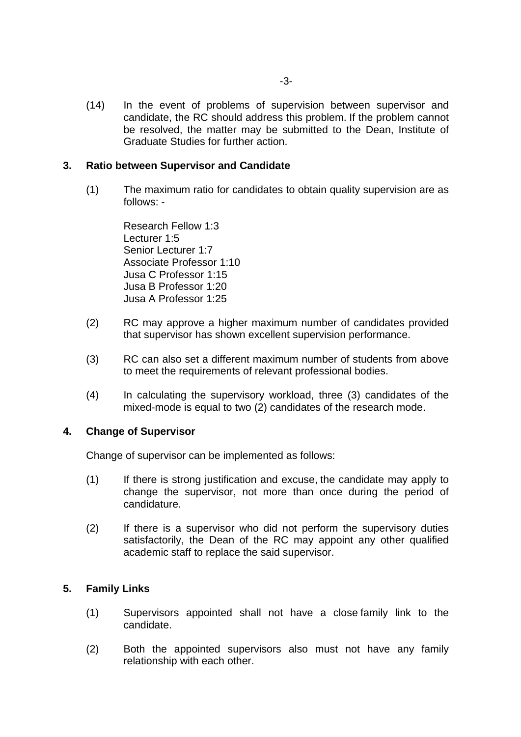(14) In the event of problems of supervision between supervisor and candidate, the RC should address this problem. If the problem cannot be resolved, the matter may be submitted to the Dean, Institute of Graduate Studies for further action.

## **3. Ratio between Supervisor and Candidate**

 (1) The maximum ratio for candidates to obtain quality supervision are as follows: -

> Research Fellow 1:3 Lecturer 1:5 Senior Lecturer 1:7 Associate Professor 1:10 Jusa C Professor 1:15 Jusa B Professor 1:20 Jusa A Professor 1:25

- (2) RC may approve a higher maximum number of candidates provided that supervisor has shown excellent supervision performance.
- (3) RC can also set a different maximum number of students from above to meet the requirements of relevant professional bodies.
- (4) In calculating the supervisory workload, three (3) candidates of the mixed-mode is equal to two (2) candidates of the research mode.

### **4. Change of Supervisor**

Change of supervisor can be implemented as follows:

- (1) If there is strong justification and excuse, the candidate may apply to change the supervisor, not more than once during the period of candidature.
- (2) If there is a supervisor who did not perform the supervisory duties satisfactorily, the Dean of the RC may appoint any other qualified academic staff to replace the said supervisor.

### **5. Family Links**

- (1) Supervisors appointed shall not have a close family link to the candidate.
- (2) Both the appointed supervisors also must not have any family relationship with each other.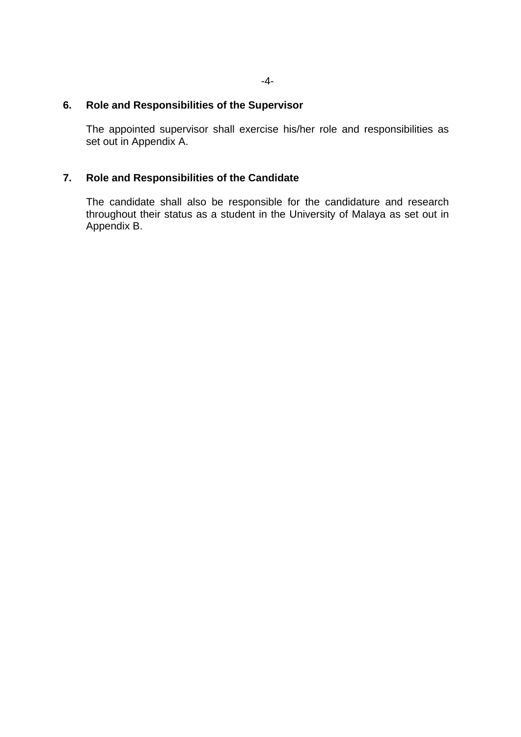## **6. Role and Responsibilities of the Supervisor**

 The appointed supervisor shall exercise his/her role and responsibilities as set out in Appendix A.

# **7. Role and Responsibilities of the Candidate**

 The candidate shall also be responsible for the candidature and research throughout their status as a student in the University of Malaya as set out in Appendix B.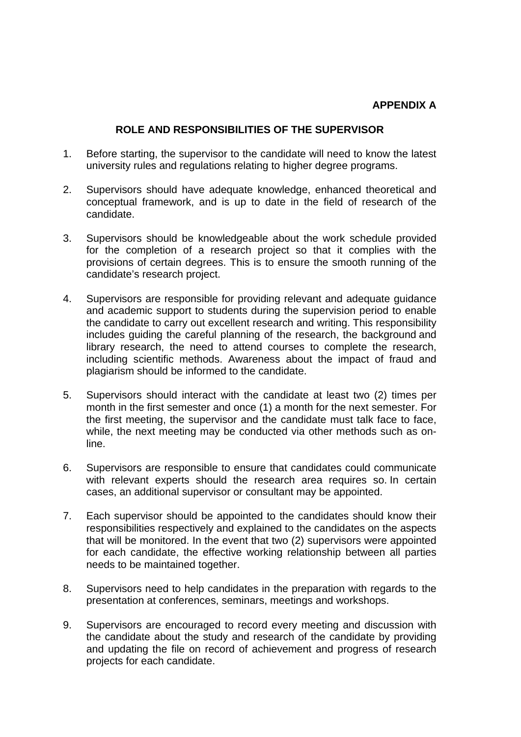### **ROLE AND RESPONSIBILITIES OF THE SUPERVISOR**

- 1. Before starting, the supervisor to the candidate will need to know the latest university rules and regulations relating to higher degree programs.
- 2. Supervisors should have adequate knowledge, enhanced theoretical and conceptual framework, and is up to date in the field of research of the candidate.
- 3. Supervisors should be knowledgeable about the work schedule provided for the completion of a research project so that it complies with the provisions of certain degrees. This is to ensure the smooth running of the candidate's research project.
- 4. Supervisors are responsible for providing relevant and adequate guidance and academic support to students during the supervision period to enable the candidate to carry out excellent research and writing. This responsibility includes guiding the careful planning of the research, the background and library research, the need to attend courses to complete the research, including scientific methods. Awareness about the impact of fraud and plagiarism should be informed to the candidate.
- 5. Supervisors should interact with the candidate at least two (2) times per month in the first semester and once (1) a month for the next semester. For the first meeting, the supervisor and the candidate must talk face to face, while, the next meeting may be conducted via other methods such as online.
- 6. Supervisors are responsible to ensure that candidates could communicate with relevant experts should the research area requires so. In certain cases, an additional supervisor or consultant may be appointed.
- 7. Each supervisor should be appointed to the candidates should know their responsibilities respectively and explained to the candidates on the aspects that will be monitored. In the event that two (2) supervisors were appointed for each candidate, the effective working relationship between all parties needs to be maintained together.
- 8. Supervisors need to help candidates in the preparation with regards to the presentation at conferences, seminars, meetings and workshops.
- 9. Supervisors are encouraged to record every meeting and discussion with the candidate about the study and research of the candidate by providing and updating the file on record of achievement and progress of research projects for each candidate.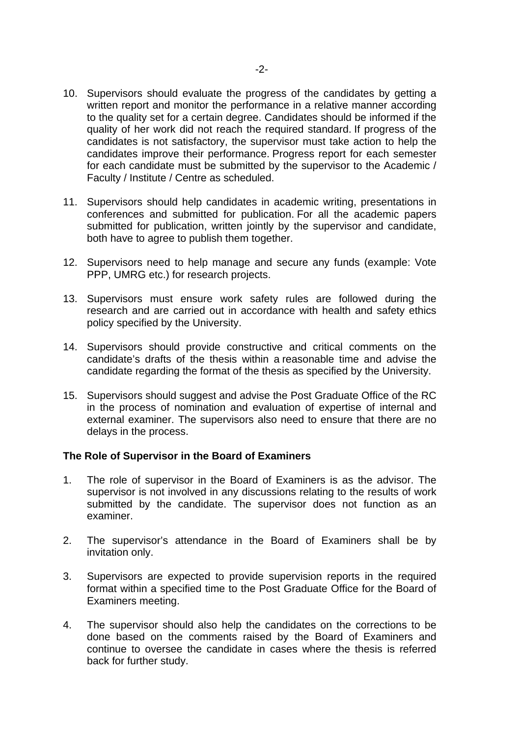- 10. Supervisors should evaluate the progress of the candidates by getting a written report and monitor the performance in a relative manner according to the quality set for a certain degree. Candidates should be informed if the quality of her work did not reach the required standard. If progress of the candidates is not satisfactory, the supervisor must take action to help the candidates improve their performance. Progress report for each semester for each candidate must be submitted by the supervisor to the Academic / Faculty / Institute / Centre as scheduled.
- 11. Supervisors should help candidates in academic writing, presentations in conferences and submitted for publication. For all the academic papers submitted for publication, written jointly by the supervisor and candidate, both have to agree to publish them together.
- 12. Supervisors need to help manage and secure any funds (example: Vote PPP, UMRG etc.) for research projects.
- 13. Supervisors must ensure work safety rules are followed during the research and are carried out in accordance with health and safety ethics policy specified by the University.
- 14. Supervisors should provide constructive and critical comments on the candidate's drafts of the thesis within a reasonable time and advise the candidate regarding the format of the thesis as specified by the University.
- 15. Supervisors should suggest and advise the Post Graduate Office of the RC in the process of nomination and evaluation of expertise of internal and external examiner. The supervisors also need to ensure that there are no delays in the process.

### **The Role of Supervisor in the Board of Examiners**

- 1. The role of supervisor in the Board of Examiners is as the advisor. The supervisor is not involved in any discussions relating to the results of work submitted by the candidate. The supervisor does not function as an examiner.
- 2. The supervisor's attendance in the Board of Examiners shall be by invitation only.
- 3. Supervisors are expected to provide supervision reports in the required format within a specified time to the Post Graduate Office for the Board of Examiners meeting.
- 4. The supervisor should also help the candidates on the corrections to be done based on the comments raised by the Board of Examiners and continue to oversee the candidate in cases where the thesis is referred back for further study.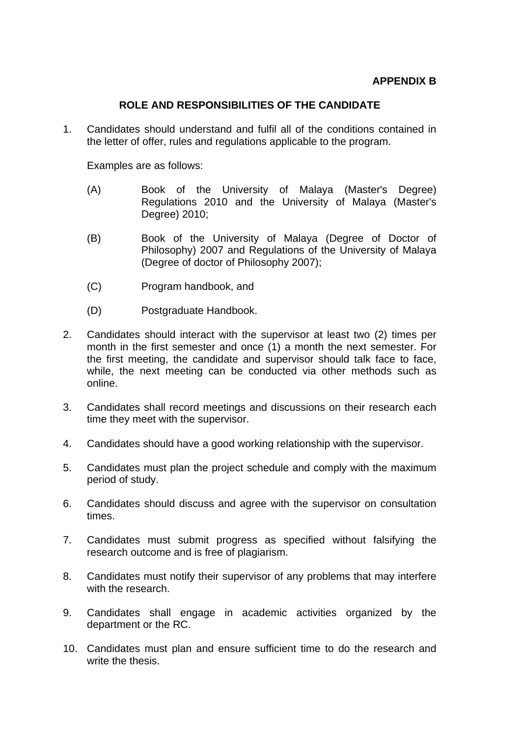## **ROLE AND RESPONSIBILITIES OF THE CANDIDATE**

1. Candidates should understand and fulfil all of the conditions contained in the letter of offer, rules and regulations applicable to the program.

Examples are as follows:

- (A) Book of the University of Malaya (Master's Degree) Regulations 2010 and the University of Malaya (Master's Degree) 2010;
- (B) Book of the University of Malaya (Degree of Doctor of Philosophy) 2007 and Regulations of the University of Malaya (Degree of doctor of Philosophy 2007);
- (C) Program handbook, and
- (D) Postgraduate Handbook.
- 2. Candidates should interact with the supervisor at least two (2) times per month in the first semester and once (1) a month the next semester. For the first meeting, the candidate and supervisor should talk face to face, while, the next meeting can be conducted via other methods such as online.
- 3. Candidates shall record meetings and discussions on their research each time they meet with the supervisor.
- 4. Candidates should have a good working relationship with the supervisor.
- 5. Candidates must plan the project schedule and comply with the maximum period of study.
- 6. Candidates should discuss and agree with the supervisor on consultation times.
- 7. Candidates must submit progress as specified without falsifying the research outcome and is free of plagiarism.
- 8. Candidates must notify their supervisor of any problems that may interfere with the research.
- 9. Candidates shall engage in academic activities organized by the department or the RC.
- 10. Candidates must plan and ensure sufficient time to do the research and write the thesis.